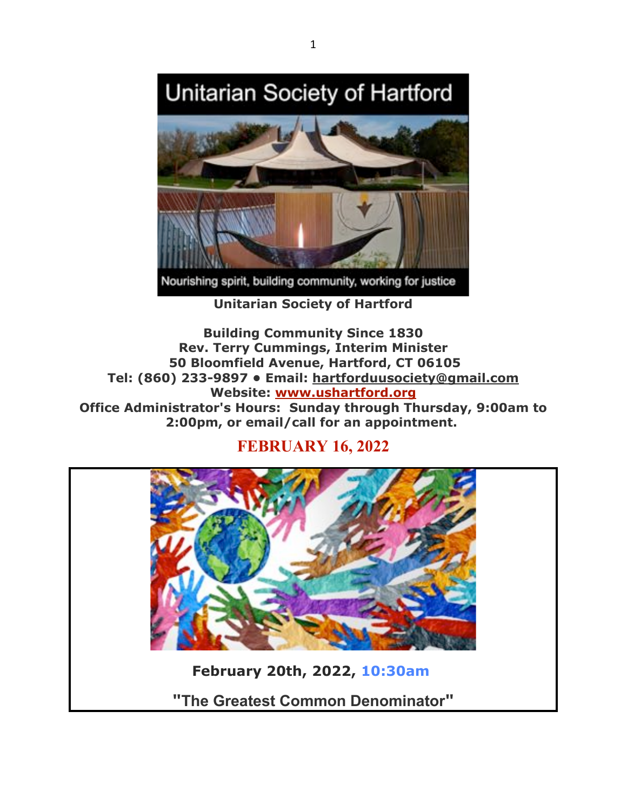



**Unitarian Society of Hartford**

**Building Community Since 1830 Rev. Terry Cummings, Interim Minister 50 Bloomfield Avenue, Hartford, CT 06105 Tel: (860) 233-9897 • Email: hartforduusociety@gmail.com Website: www.ushartford.org Office Administrator's Hours: Sunday through Thursday, 9:00am to 2:00pm, or email/call for an appointment.**

# **FEBRUARY 16, 2022**



**"The Greatest Common Denominator"**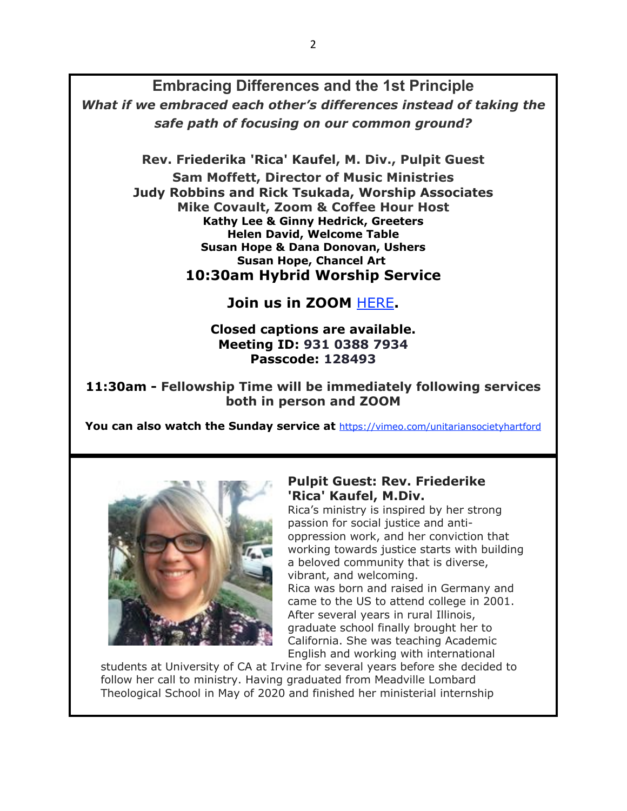**Embracing Differences and the 1st Principle** *What if we embraced each other's differences instead of taking the safe path of focusing on our common ground?*

**Rev. Friederika 'Rica' Kaufel, M. Div., Pulpit Guest**

**Sam Moffett, Director of Music Ministries Judy Robbins and Rick Tsukada, Worship Associates Mike Covault, Zoom & Coffee Hour Host Kathy Lee & Ginny Hedrick, Greeters Helen David, Welcome Table Susan Hope & Dana Donovan, Ushers Susan Hope, Chancel Art 10:30am Hybrid Worship Service**

**Join us in ZOOM** HERE**.**

### **Closed captions are available. Meeting ID: 931 0388 7934 Passcode: 128493**

**11:30am - Fellowship Time will be immediately following services both in person and ZOOM**

**You can also watch the Sunday service at** https://vimeo.com/unitariansocietyhartford



### **Pulpit Guest: Rev. Friederike 'Rica' Kaufel, M.Div.**

Rica's ministry is inspired by her strong passion for social justice and antioppression work, and her conviction that working towards justice starts with building a beloved community that is diverse, vibrant, and welcoming. Rica was born and raised in Germany and came to the US to attend college in 2001. After several years in rural Illinois, graduate school finally brought her to California. She was teaching Academic English and working with international

students at University of CA at Irvine for several years before she decided to follow her call to ministry. Having graduated from Meadville Lombard Theological School in May of 2020 and finished her ministerial internship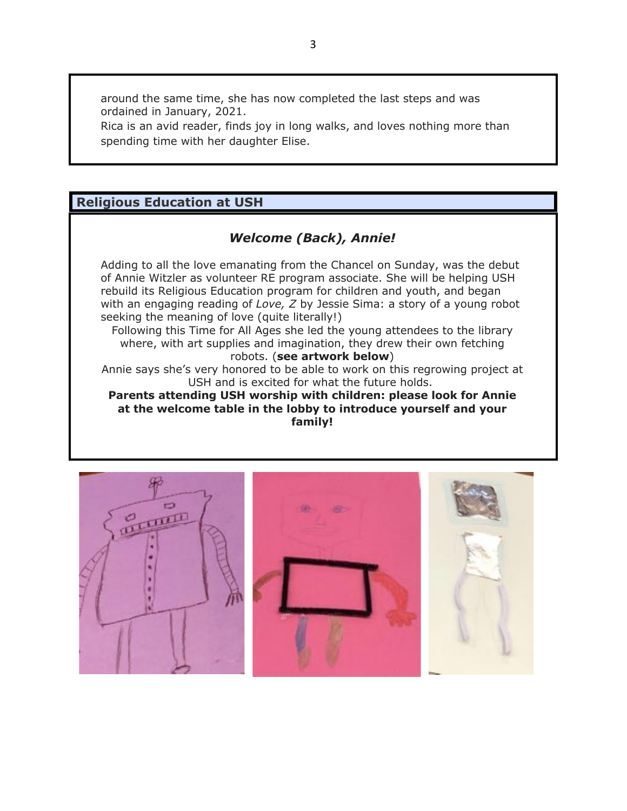around the same time, she has now completed the last steps and was ordained in January, 2021.

Rica is an avid reader, finds joy in long walks, and loves nothing more than spending time with her daughter Elise.

# **Religious Education at USH**

## *Welcome (Back), Annie!*

Adding to all the love emanating from the Chancel on Sunday, was the debut of Annie Witzler as volunteer RE program associate. She will be helping USH rebuild its Religious Education program for children and youth, and began with an engaging reading of *Love, Z* by Jessie Sima: a story of a young robot seeking the meaning of love (quite literally!)

Following this Time for All Ages she led the young attendees to the library where, with art supplies and imagination, they drew their own fetching robots. (**see artwork below**)

Annie says she's very honored to be able to work on this regrowing project at USH and is excited for what the future holds.

**Parents attending USH worship with children: please look for Annie at the welcome table in the lobby to introduce yourself and your family!**

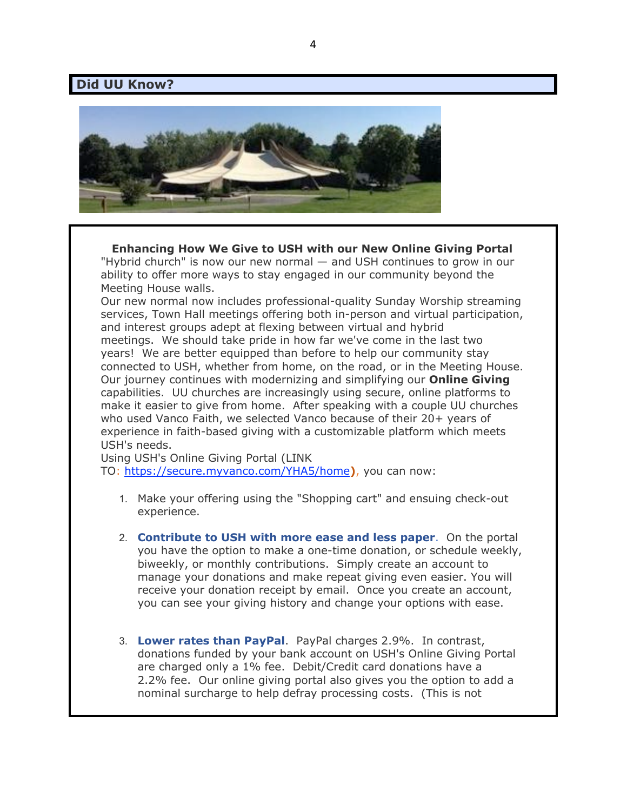#### **Did UU Know?**



**Enhancing How We Give to USH with our New Online Giving Portal** "Hybrid church" is now our new normal — and USH continues to grow in our ability to offer more ways to stay engaged in our community beyond the Meeting House walls.

Our new normal now includes professional-quality Sunday Worship streaming services, Town Hall meetings offering both in-person and virtual participation, and interest groups adept at flexing between virtual and hybrid meetings. We should take pride in how far we've come in the last two years! We are better equipped than before to help our community stay connected to USH, whether from home, on the road, or in the Meeting House. Our journey continues with modernizing and simplifying our **Online Giving** capabilities. UU churches are increasingly using secure, online platforms to make it easier to give from home. After speaking with a couple UU churches who used Vanco Faith, we selected Vanco because of their 20+ years of experience in faith-based giving with a customizable platform which meets USH's needs.

Using USH's Online Giving Portal (LINK

TO: https://secure.myvanco.com/YHA5/home**)**, you can now:

- 1. Make your offering using the "Shopping cart" and ensuing check-out experience.
- 2. **Contribute to USH with more ease and less paper**. On the portal you have the option to make a one-time donation, or schedule weekly, biweekly, or monthly contributions. Simply create an account to manage your donations and make repeat giving even easier. You will receive your donation receipt by email. Once you create an account, you can see your giving history and change your options with ease.
- 3. **Lower rates than PayPal**. PayPal charges 2.9%. In contrast, donations funded by your bank account on USH's Online Giving Portal are charged only a 1% fee. Debit/Credit card donations have a 2.2% fee. Our online giving portal also gives you the option to add a nominal surcharge to help defray processing costs. (This is not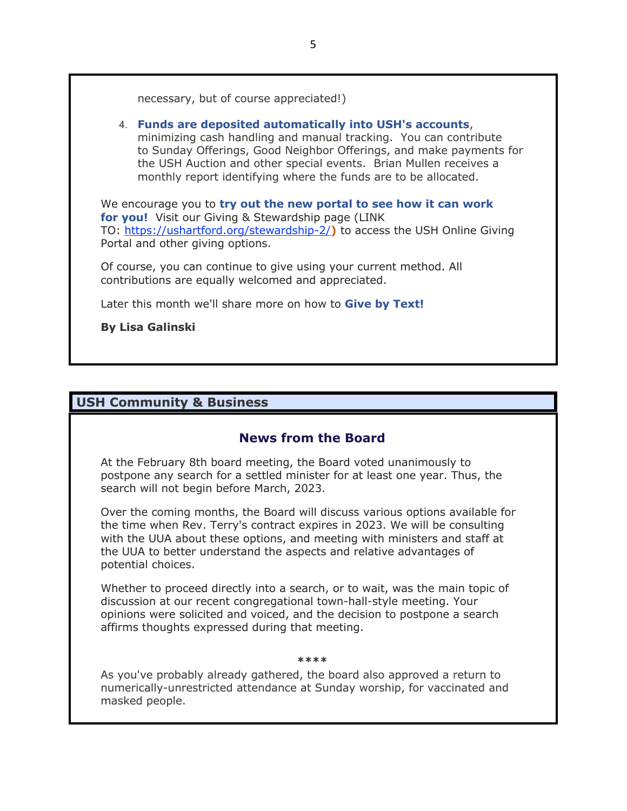necessary, but of course appreciated!)

#### 4. **Funds are deposited automatically into USH's accounts**, minimizing cash handling and manual tracking. You can contribute to Sunday Offerings, Good Neighbor Offerings, and make payments for the USH Auction and other special events. Brian Mullen receives a monthly report identifying where the funds are to be allocated.

We encourage you to **try out the new portal to see how it can work for you!** Visit our Giving & Stewardship page (LINK TO: https://ushartford.org/stewardship-2/**)** to access the USH Online Giving Portal and other giving options.

Of course, you can continue to give using your current method. All contributions are equally welcomed and appreciated.

Later this month we'll share more on how to **Give by Text!**

#### **By Lisa Galinski**

### **USH Community & Business**

### **News from the Board**

At the February 8th board meeting, the Board voted unanimously to postpone any search for a settled minister for at least one year. Thus, the search will not begin before March, 2023.

Over the coming months, the Board will discuss various options available for the time when Rev. Terry's contract expires in 2023. We will be consulting with the UUA about these options, and meeting with ministers and staff at the UUA to better understand the aspects and relative advantages of potential choices.

Whether to proceed directly into a search, or to wait, was the main topic of discussion at our recent congregational town-hall-style meeting. Your opinions were solicited and voiced, and the decision to postpone a search affirms thoughts expressed during that meeting.

#### **\*\*\*\***

As you've probably already gathered, the board also approved a return to numerically-unrestricted attendance at Sunday worship, for vaccinated and masked people.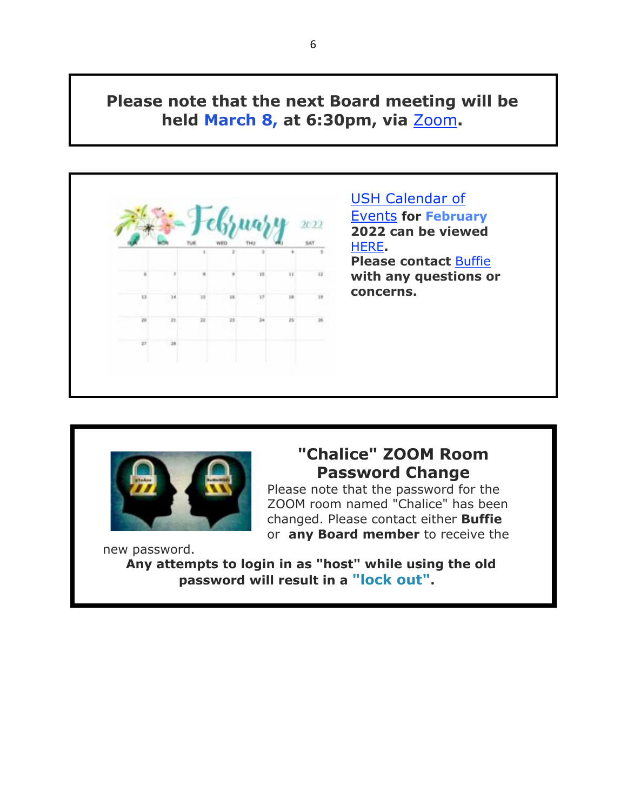# **Please note that the next Board meeting will be held March 8, at 6:30pm, via** Zoom**.**





# **"Chalice" ZOOM Room Password Change**

Please note that the password for the ZOOM room named "Chalice" has been changed. Please contact either **Buffie** or **any Board member** to receive the

new password.

**Any attempts to login in as "host" while using the old password will result in a "lock out".**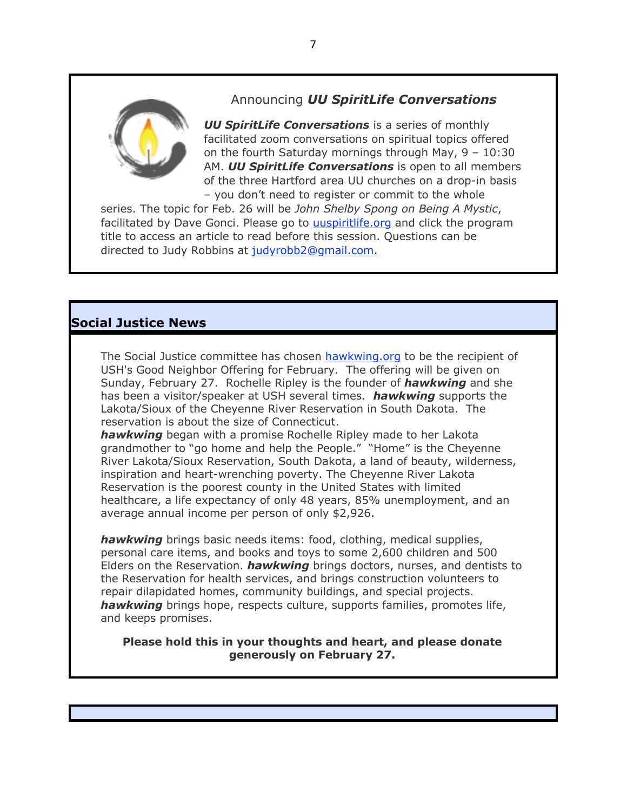

### Announcing *UU SpiritLife Conversations*

*UU SpiritLife Conversations* is a series of monthly facilitated zoom conversations on spiritual topics offered on the fourth Saturday mornings through May, 9 – 10:30 AM. *UU SpiritLife Conversations* is open to all members of the three Hartford area UU churches on a drop-in basis – you don't need to register or commit to the whole

series. The topic for Feb. 26 will be *John Shelby Spong on Being A Mystic*, facilitated by Dave Gonci. Please go to uuspiritlife.org and click the program title to access an article to read before this session. Questions can be directed to Judy Robbins at judyrobb2@gmail.com.

# **Social Justice News**

The Social Justice committee has chosen hawkwing.org to be the recipient of USH's Good Neighbor Offering for February. The offering will be given on Sunday, February 27. Rochelle Ripley is the founder of *hawkwing* and she has been a visitor/speaker at USH several times. *hawkwing* supports the Lakota/Sioux of the Cheyenne River Reservation in South Dakota. The reservation is about the size of Connecticut.

*hawkwing* began with a promise Rochelle Ripley made to her Lakota grandmother to "go home and help the People." "Home" is the Cheyenne River Lakota/Sioux Reservation, South Dakota, a land of beauty, wilderness, inspiration and heart-wrenching poverty. The Cheyenne River Lakota Reservation is the poorest county in the United States with limited healthcare, a life expectancy of only 48 years, 85% unemployment, and an average annual income per person of only \$2,926.

*hawkwing* brings basic needs items: food, clothing, medical supplies, personal care items, and books and toys to some 2,600 children and 500 Elders on the Reservation. *hawkwing* brings doctors, nurses, and dentists to the Reservation for health services, and brings construction volunteers to repair dilapidated homes, community buildings, and special projects. *hawkwing* brings hope, respects culture, supports families, promotes life, and keeps promises.

**Please hold this in your thoughts and heart, and please donate generously on February 27.**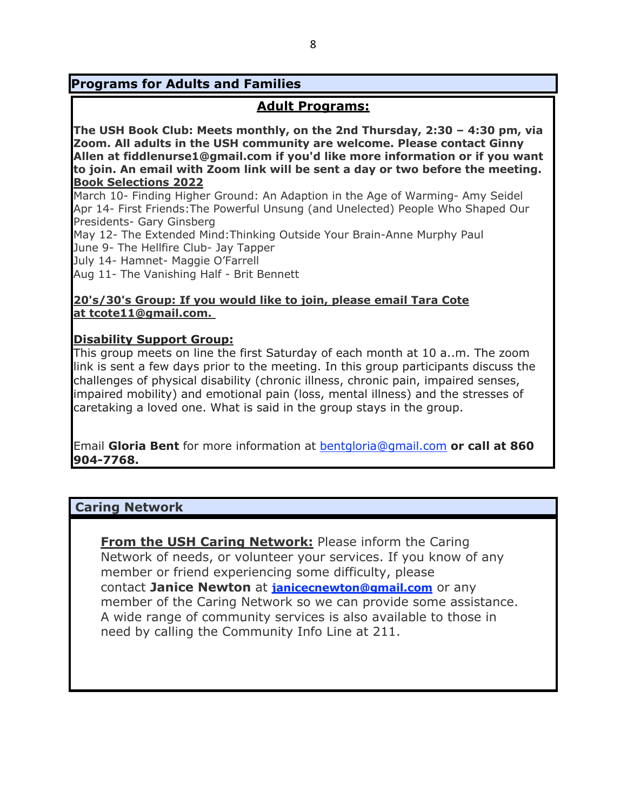## **Programs for Adults and Families**

## **Adult Programs:**

**The USH Book Club: Meets monthly, on the 2nd Thursday, 2:30 – 4:30 pm, via Zoom. All adults in the USH community are welcome. Please contact Ginny Allen at fiddlenurse1@gmail.com if you'd like more information or if you want to join. An email with Zoom link will be sent a day or two before the meeting. Book Selections 2022**

March 10- Finding Higher Ground: An Adaption in the Age of Warming- Amy Seidel Apr 14- First Friends:The Powerful Unsung (and Unelected) People Who Shaped Our Presidents- Gary Ginsberg

May 12- The Extended Mind:Thinking Outside Your Brain-Anne Murphy Paul June 9- The Hellfire Club- Jay Tapper

July 14- Hamnet- Maggie O'Farrell

Aug 11- The Vanishing Half - Brit Bennett

### **20's/30's Group: If you would like to join, please email Tara Cote at tcote11@gmail.com.**

#### **Disability Support Group:**

This group meets on line the first Saturday of each month at 10 a..m. The zoom link is sent a few days prior to the meeting. In this group participants discuss the challenges of physical disability (chronic illness, chronic pain, impaired senses, impaired mobility) and emotional pain (loss, mental illness) and the stresses of caretaking a loved one. What is said in the group stays in the group.

Email **Gloria Bent** for more information at bentgloria@gmail.com **or call at 860 904-7768.**

### **Caring Network**

**From the USH Caring Network:** Please inform the Caring Network of needs, or volunteer your services. If you know of any member or friend experiencing some difficulty, please contact **Janice Newton** at **janicecnewton@gmail.com** or any member of the Caring Network so we can provide some assistance. A wide range of community services is also available to those in need by calling the Community Info Line at 211.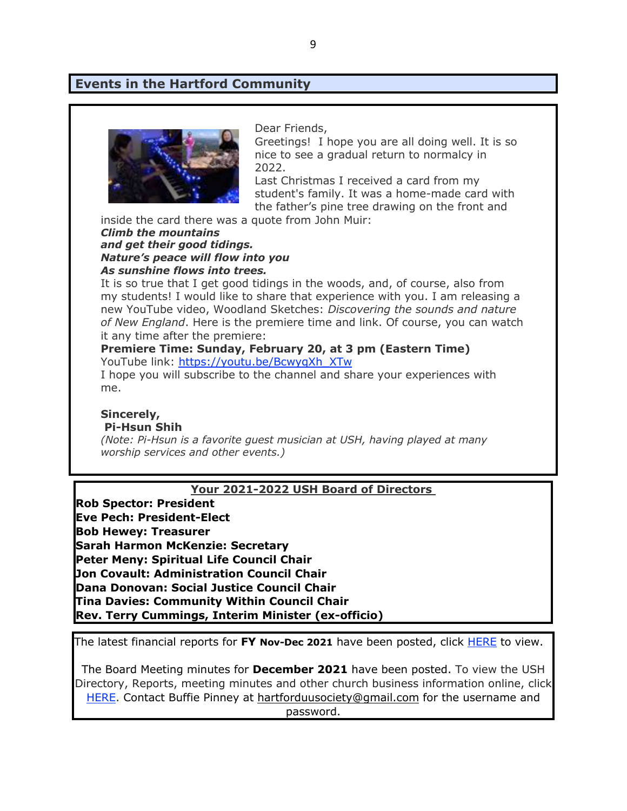### **Events in the Hartford Community**



Dear Friends,

Greetings! I hope you are all doing well. It is so nice to see a gradual return to normalcy in 2022.

Last Christmas I received a card from my student's family. It was a home-made card with the father's pine tree drawing on the front and

inside the card there was a quote from John Muir:

#### *Climb the mountains and get their good tidings. Nature's peace will flow into you As sunshine flows into trees.*

It is so true that I get good tidings in the woods, and, of course, also from my students! I would like to share that experience with you. I am releasing a new YouTube video, Woodland Sketches: *Discovering the sounds and nature of New England*. Here is the premiere time and link. Of course, you can watch it any time after the premiere:

#### **Premiere Time: Sunday, February 20, at 3 pm (Eastern Time)** YouTube link: https://youtu.be/BcwyqXh\_XTw

I hope you will subscribe to the channel and share your experiences with me.

#### **Sincerely, Pi-Hsun Shih**

*(Note: Pi-Hsun is a favorite guest musician at USH, having played at many worship services and other events.)*

#### **Your 2021-2022 USH Board of Directors**

**Rob Spector: President Eve Pech: President-Elect Bob Hewey: Treasurer Sarah Harmon McKenzie: Secretary Peter Meny: Spiritual Life Council Chair Jon Covault: Administration Council Chair Dana Donovan: Social Justice Council Chair Tina Davies: Community Within Council Chair Rev. Terry Cummings, Interim Minister (ex-officio)**

The latest financial reports for **FY Nov-Dec 2021** have been posted, click HERE to view.

The Board Meeting minutes for **December 2021** have been posted. To view the USH Directory, Reports, meeting minutes and other church business information online, click HERE. Contact Buffie Pinney at hartforduusociety@gmail.com for the username and password.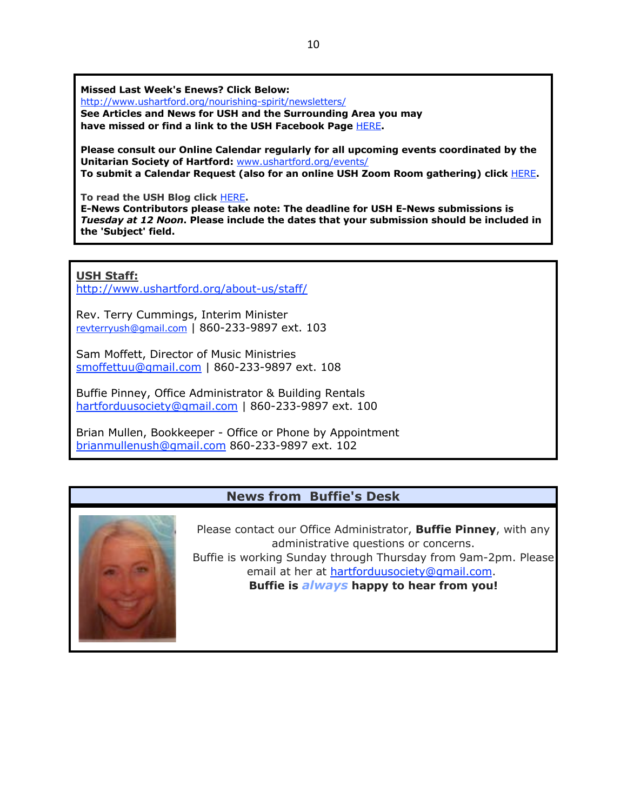**Missed Last Week's Enews? Click Below:**

http://www.ushartford.org/nourishing-spirit/newsletters/

**See Articles and News for USH and the Surrounding Area you may have missed or find a link to the USH Facebook Page** HERE**.**

**Please consult our Online Calendar regularly for all upcoming events coordinated by the Unitarian Society of Hartford:** www.ushartford.org/events/ **To submit a Calendar Request (also for an online USH Zoom Room gathering) click** HERE**.**

**To read the USH Blog click** HERE**.**

**E-News Contributors please take note: The deadline for USH E-News submissions is**  *Tuesday at 12 Noon***. Please include the dates that your submission should be included in the 'Subject' field.**

**USH Staff:**

http://www.ushartford.org/about-us/staff/

Rev. Terry Cummings, Interim Minister revterryush@gmail.com | 860-233-9897 ext. 103

Sam Moffett, Director of Music Ministries smoffettuu@gmail.com | 860-233-9897 ext. 108

Buffie Pinney, Office Administrator & Building Rentals hartforduusociety@gmail.com | 860-233-9897 ext. 100

Brian Mullen, Bookkeeper - Office or Phone by Appointment brianmullenush@gmail.com 860-233-9897 ext. 102

### **News from Buffie's Desk**



Please contact our Office Administrator, **Buffie Pinney**, with any administrative questions or concerns. Buffie is working Sunday through Thursday from 9am-2pm. Please email at her at hartforduusociety@gmail.com. **Buffie is** *always* **happy to hear from you!**